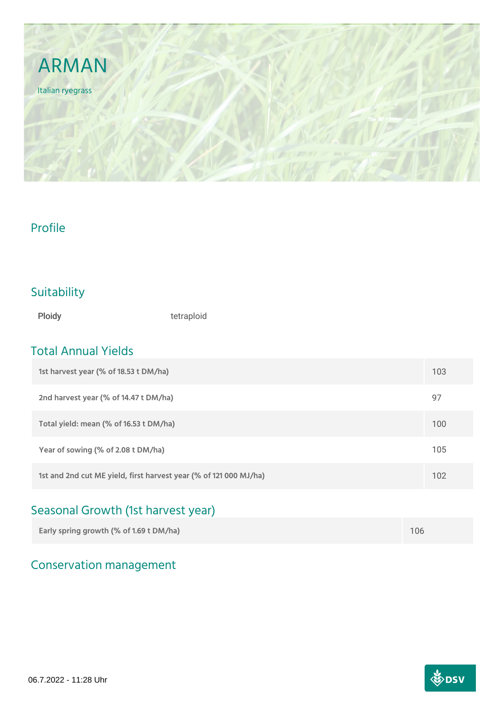

### Profile

### Suitability

Ploidy **tetraploid** 

### Total Annual Yields

| 1st harvest year (% of 18.53 t DM/ha)                             | 103 |
|-------------------------------------------------------------------|-----|
| 2nd harvest year (% of 14.47 t DM/ha)                             | 97  |
| Total yield: mean (% of 16.53 t DM/ha)                            | 100 |
| Year of sowing (% of 2.08 t DM/ha)                                | 105 |
| 1st and 2nd cut ME yield, first harvest year (% of 121 000 MJ/ha) | 102 |

# Seasonal Growth (1st harvest year)

| Early spring growth (% of 1.69 t DM/ha) | 106 |
|-----------------------------------------|-----|
|                                         |     |

## Conservation management